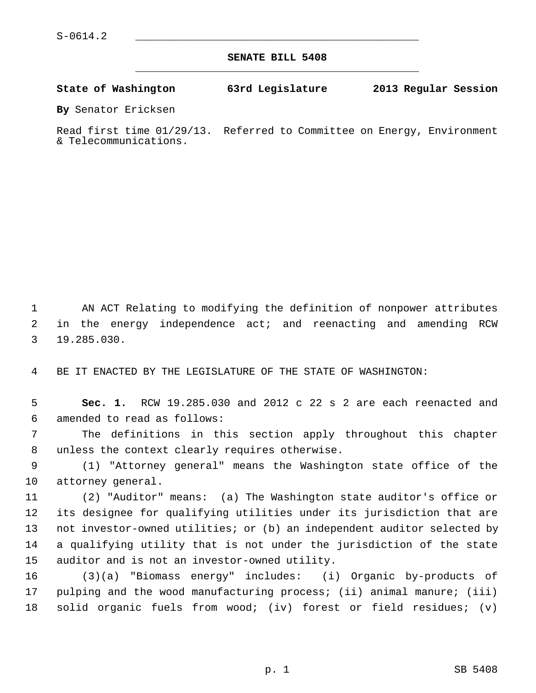**SENATE BILL 5408** \_\_\_\_\_\_\_\_\_\_\_\_\_\_\_\_\_\_\_\_\_\_\_\_\_\_\_\_\_\_\_\_\_\_\_\_\_\_\_\_\_\_\_\_\_

**State of Washington 63rd Legislature 2013 Regular Session**

**By** Senator Ericksen

Read first time 01/29/13. Referred to Committee on Energy, Environment & Telecommunications.

 1 AN ACT Relating to modifying the definition of nonpower attributes 2 in the energy independence act; and reenacting and amending RCW 3 19.285.030.

4 BE IT ENACTED BY THE LEGISLATURE OF THE STATE OF WASHINGTON:

 5 **Sec. 1.** RCW 19.285.030 and 2012 c 22 s 2 are each reenacted and 6 amended to read as follows:

 7 The definitions in this section apply throughout this chapter 8 unless the context clearly requires otherwise.

 9 (1) "Attorney general" means the Washington state office of the 10 attorney general.

11 (2) "Auditor" means: (a) The Washington state auditor's office or 12 its designee for qualifying utilities under its jurisdiction that are 13 not investor-owned utilities; or (b) an independent auditor selected by 14 a qualifying utility that is not under the jurisdiction of the state 15 auditor and is not an investor-owned utility.

16 (3)(a) "Biomass energy" includes: (i) Organic by-products of 17 pulping and the wood manufacturing process; (ii) animal manure; (iii) 18 solid organic fuels from wood; (iv) forest or field residues; (v)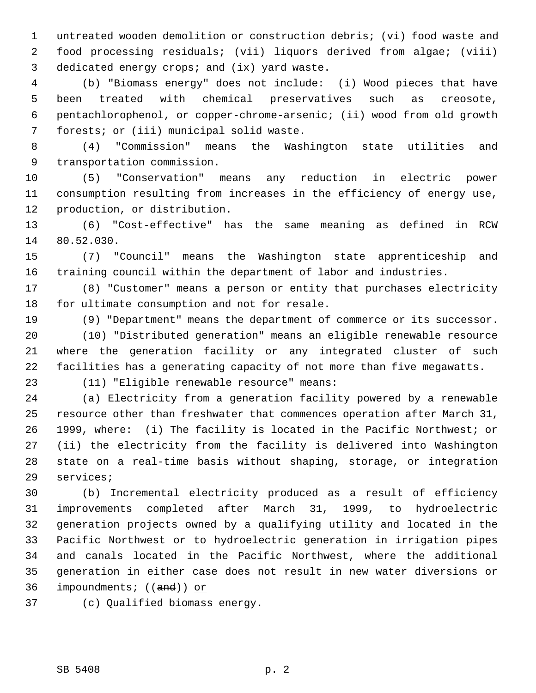1 untreated wooden demolition or construction debris; (vi) food waste and 2 food processing residuals; (vii) liquors derived from algae; (viii) 3 dedicated energy crops; and (ix) yard waste.

 4 (b) "Biomass energy" does not include: (i) Wood pieces that have 5 been treated with chemical preservatives such as creosote, 6 pentachlorophenol, or copper-chrome-arsenic; (ii) wood from old growth 7 forests; or (iii) municipal solid waste.

 8 (4) "Commission" means the Washington state utilities and 9 transportation commission.

10 (5) "Conservation" means any reduction in electric power 11 consumption resulting from increases in the efficiency of energy use, 12 production, or distribution.

13 (6) "Cost-effective" has the same meaning as defined in RCW 14 80.52.030.

15 (7) "Council" means the Washington state apprenticeship and 16 training council within the department of labor and industries.

17 (8) "Customer" means a person or entity that purchases electricity 18 for ultimate consumption and not for resale.

19 (9) "Department" means the department of commerce or its successor.

20 (10) "Distributed generation" means an eligible renewable resource 21 where the generation facility or any integrated cluster of such 22 facilities has a generating capacity of not more than five megawatts.

23 (11) "Eligible renewable resource" means:

24 (a) Electricity from a generation facility powered by a renewable 25 resource other than freshwater that commences operation after March 31, 26 1999, where: (i) The facility is located in the Pacific Northwest; or 27 (ii) the electricity from the facility is delivered into Washington 28 state on a real-time basis without shaping, storage, or integration 29 services;

30 (b) Incremental electricity produced as a result of efficiency 31 improvements completed after March 31, 1999, to hydroelectric 32 generation projects owned by a qualifying utility and located in the 33 Pacific Northwest or to hydroelectric generation in irrigation pipes 34 and canals located in the Pacific Northwest, where the additional 35 generation in either case does not result in new water diversions or 36 impoundments; ((and)) or

37 (c) Qualified biomass energy.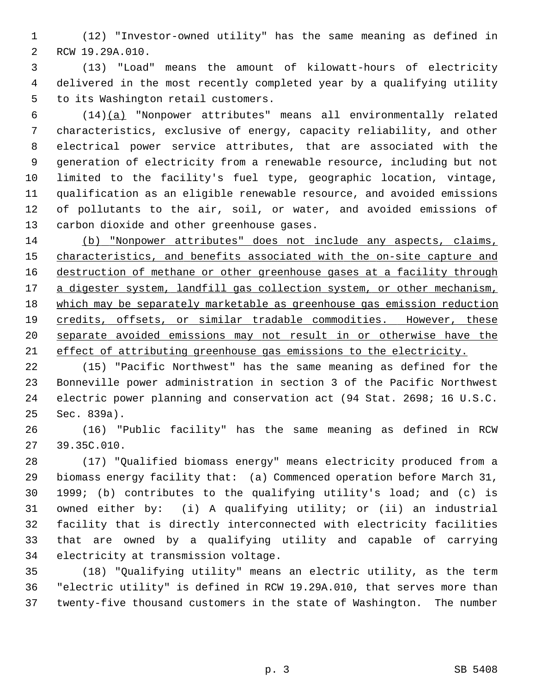1 (12) "Investor-owned utility" has the same meaning as defined in 2 RCW 19.29A.010.

 3 (13) "Load" means the amount of kilowatt-hours of electricity 4 delivered in the most recently completed year by a qualifying utility 5 to its Washington retail customers.

 6 (14)(a) "Nonpower attributes" means all environmentally related 7 characteristics, exclusive of energy, capacity reliability, and other 8 electrical power service attributes, that are associated with the 9 generation of electricity from a renewable resource, including but not 10 limited to the facility's fuel type, geographic location, vintage, 11 qualification as an eligible renewable resource, and avoided emissions 12 of pollutants to the air, soil, or water, and avoided emissions of 13 carbon dioxide and other greenhouse gases.

 (b) "Nonpower attributes" does not include any aspects, claims, characteristics, and benefits associated with the on-site capture and destruction of methane or other greenhouse gases at a facility through a digester system, landfill gas collection system, or other mechanism, which may be separately marketable as greenhouse gas emission reduction 19 credits, offsets, or similar tradable commodities. However, these separate avoided emissions may not result in or otherwise have the effect of attributing greenhouse gas emissions to the electricity.

22 (15) "Pacific Northwest" has the same meaning as defined for the 23 Bonneville power administration in section 3 of the Pacific Northwest 24 electric power planning and conservation act (94 Stat. 2698; 16 U.S.C. 25 Sec. 839a).

26 (16) "Public facility" has the same meaning as defined in RCW 27 39.35C.010.

28 (17) "Qualified biomass energy" means electricity produced from a 29 biomass energy facility that: (a) Commenced operation before March 31, 30 1999; (b) contributes to the qualifying utility's load; and (c) is 31 owned either by: (i) A qualifying utility; or (ii) an industrial 32 facility that is directly interconnected with electricity facilities 33 that are owned by a qualifying utility and capable of carrying 34 electricity at transmission voltage.

35 (18) "Qualifying utility" means an electric utility, as the term 36 "electric utility" is defined in RCW 19.29A.010, that serves more than 37 twenty-five thousand customers in the state of Washington. The number